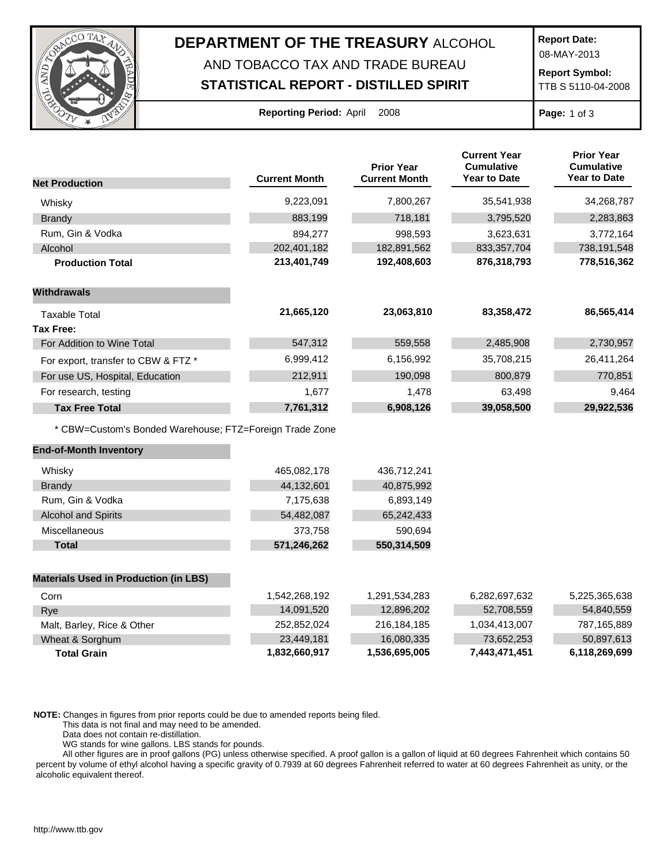

## **DEPARTMENT OF THE TREASURY** ALCOHOL

## AND TOBACCO TAX AND TRADE BUREAU **STATISTICAL REPORT - DISTILLED SPIRIT**

**Report Date:**

08-MAY-2013

**Report Symbol:** TTB S 5110-04-2008

| <b>Reporting Period: April</b> |  | 2008 |
|--------------------------------|--|------|
|                                |  |      |

**Page:** 1 of 3

|                                                         |                      | <b>Prior Year</b>    | <b>Current Year</b><br><b>Cumulative</b><br><b>Year to Date</b> | <b>Prior Year</b><br><b>Cumulative</b><br><b>Year to Date</b> |
|---------------------------------------------------------|----------------------|----------------------|-----------------------------------------------------------------|---------------------------------------------------------------|
| <b>Net Production</b>                                   | <b>Current Month</b> | <b>Current Month</b> |                                                                 |                                                               |
| Whisky                                                  | 9,223,091            | 7,800,267            | 35,541,938                                                      | 34,268,787                                                    |
| <b>Brandy</b>                                           | 883,199              | 718,181              | 3,795,520                                                       | 2,283,863                                                     |
| Rum, Gin & Vodka                                        | 894,277              | 998,593              | 3,623,631                                                       | 3,772,164                                                     |
| Alcohol                                                 | 202,401,182          | 182,891,562          | 833, 357, 704                                                   | 738,191,548                                                   |
| <b>Production Total</b>                                 | 213,401,749          | 192,408,603          | 876,318,793                                                     | 778,516,362                                                   |
| <b>Withdrawals</b>                                      |                      |                      |                                                                 |                                                               |
| <b>Taxable Total</b>                                    | 21,665,120           | 23,063,810           | 83,358,472                                                      | 86,565,414                                                    |
| <b>Tax Free:</b>                                        |                      |                      |                                                                 |                                                               |
| For Addition to Wine Total                              | 547,312              | 559,558              | 2,485,908                                                       | 2,730,957                                                     |
| For export, transfer to CBW & FTZ *                     | 6,999,412            | 6,156,992            | 35,708,215                                                      | 26,411,264                                                    |
| For use US, Hospital, Education                         | 212,911              | 190,098              | 800,879                                                         | 770,851                                                       |
| For research, testing                                   | 1,677                | 1,478                | 63,498                                                          | 9,464                                                         |
| <b>Tax Free Total</b>                                   | 7,761,312            | 6,908,126            | 39,058,500                                                      | 29,922,536                                                    |
| * CBW=Custom's Bonded Warehouse; FTZ=Foreign Trade Zone |                      |                      |                                                                 |                                                               |
| <b>End-of-Month Inventory</b>                           |                      |                      |                                                                 |                                                               |
| Whisky                                                  | 465,082,178          | 436,712,241          |                                                                 |                                                               |
| <b>Brandy</b>                                           | 44,132,601           | 40,875,992           |                                                                 |                                                               |
| Rum, Gin & Vodka                                        | 7,175,638            | 6,893,149            |                                                                 |                                                               |
| <b>Alcohol and Spirits</b>                              | 54,482,087           | 65,242,433           |                                                                 |                                                               |
| Miscellaneous                                           | 373,758              | 590,694              |                                                                 |                                                               |
| <b>Total</b>                                            | 571,246,262          | 550,314,509          |                                                                 |                                                               |
| <b>Materials Used in Production (in LBS)</b>            |                      |                      |                                                                 |                                                               |
| Corn                                                    | 1,542,268,192        | 1,291,534,283        | 6,282,697,632                                                   | 5,225,365,638                                                 |
| Rye                                                     | 14,091,520           | 12,896,202           | 52,708,559                                                      | 54,840,559                                                    |
| Malt, Barley, Rice & Other                              | 252,852,024          | 216, 184, 185        | 1,034,413,007                                                   | 787,165,889                                                   |
| Wheat & Sorghum                                         | 23,449,181           | 16,080,335           | 73,652,253                                                      | 50,897,613                                                    |
| <b>Total Grain</b>                                      | 1,832,660,917        | 1,536,695,005        | 7,443,471,451                                                   | 6,118,269,699                                                 |

**NOTE:** Changes in figures from prior reports could be due to amended reports being filed.

This data is not final and may need to be amended.

Data does not contain re-distillation.

WG stands for wine gallons. LBS stands for pounds.

All other figures are in proof gallons (PG) unless otherwise specified. A proof gallon is a gallon of liquid at 60 degrees Fahrenheit which contains 50 percent by volume of ethyl alcohol having a specific gravity of 0.7939 at 60 degrees Fahrenheit referred to water at 60 degrees Fahrenheit as unity, or the alcoholic equivalent thereof.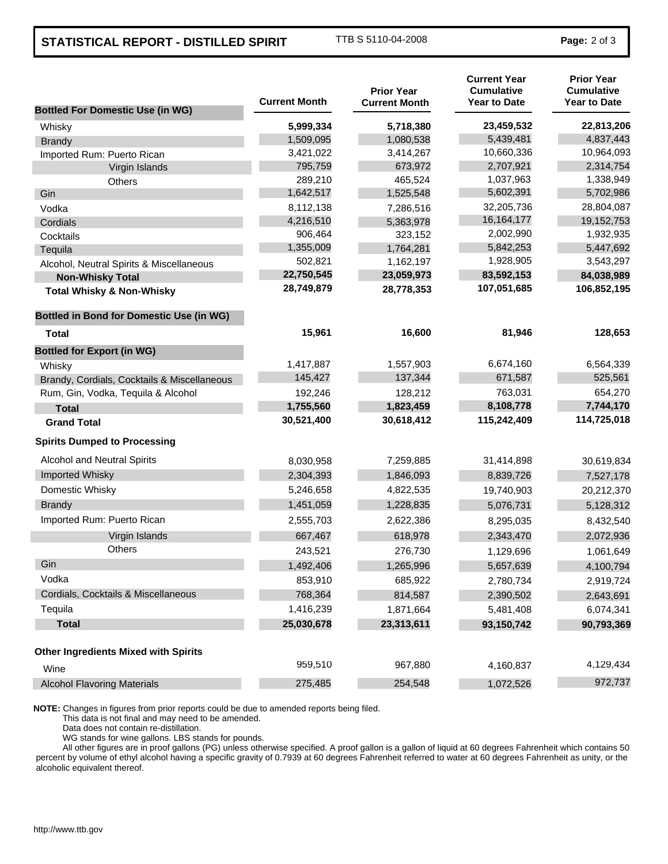## **STATISTICAL REPORT - DISTILLED SPIRIT** TTB S 5110-04-2008 **Page: 2 of 3**

| <b>Bottled For Domestic Use (in WG)</b>         | <b>Current Month</b> | <b>Prior Year</b><br><b>Current Month</b> | <b>Current Year</b><br><b>Cumulative</b><br><b>Year to Date</b> | <b>Prior Year</b><br><b>Cumulative</b><br><b>Year to Date</b> |
|-------------------------------------------------|----------------------|-------------------------------------------|-----------------------------------------------------------------|---------------------------------------------------------------|
| Whisky                                          | 5,999,334            | 5,718,380                                 | 23,459,532                                                      | 22,813,206                                                    |
| <b>Brandy</b>                                   | 1,509,095            | 1,080,538                                 | 5,439,481                                                       | 4,837,443                                                     |
| Imported Rum: Puerto Rican                      | 3,421,022            | 3,414,267                                 | 10,660,336                                                      | 10,964,093                                                    |
| Virgin Islands                                  | 795,759              | 673,972                                   | 2,707,921                                                       | 2,314,754                                                     |
| <b>Others</b>                                   | 289,210              | 465,524                                   | 1,037,963                                                       | 1,338,949                                                     |
| Gin                                             | 1,642,517            | 1,525,548                                 | 5,602,391                                                       | 5,702,986                                                     |
| Vodka                                           | 8,112,138            | 7,286,516                                 | 32,205,736                                                      | 28,804,087                                                    |
| Cordials                                        | 4,216,510            | 5,363,978                                 | 16, 164, 177                                                    | 19,152,753                                                    |
| Cocktails                                       | 906,464              | 323,152                                   | 2,002,990                                                       | 1,932,935                                                     |
| Tequila                                         | 1,355,009            | 1,764,281                                 | 5,842,253                                                       | 5,447,692                                                     |
| Alcohol, Neutral Spirits & Miscellaneous        | 502,821              | 1,162,197                                 | 1,928,905                                                       | 3,543,297                                                     |
| <b>Non-Whisky Total</b>                         | 22,750,545           | 23,059,973                                | 83,592,153                                                      | 84,038,989                                                    |
| <b>Total Whisky &amp; Non-Whisky</b>            | 28,749,879           | 28,778,353                                | 107,051,685                                                     | 106,852,195                                                   |
| <b>Bottled in Bond for Domestic Use (in WG)</b> |                      |                                           |                                                                 |                                                               |
| <b>Total</b>                                    | 15,961               | 16,600                                    | 81,946                                                          | 128,653                                                       |
| <b>Bottled for Export (in WG)</b>               |                      |                                           |                                                                 |                                                               |
| Whisky                                          | 1,417,887            | 1,557,903                                 | 6,674,160                                                       | 6,564,339                                                     |
| Brandy, Cordials, Cocktails & Miscellaneous     | 145,427              | 137,344                                   | 671,587                                                         | 525,561                                                       |
| Rum, Gin, Vodka, Tequila & Alcohol              | 192,246              | 128,212                                   | 763,031                                                         | 654,270                                                       |
| <b>Total</b>                                    | 1,755,560            | 1,823,459                                 | 8,108,778                                                       | 7,744,170                                                     |
| <b>Grand Total</b>                              | 30,521,400           | 30,618,412                                | 115,242,409                                                     | 114,725,018                                                   |
| <b>Spirits Dumped to Processing</b>             |                      |                                           |                                                                 |                                                               |
| <b>Alcohol and Neutral Spirits</b>              | 8,030,958            | 7,259,885                                 | 31,414,898                                                      | 30,619,834                                                    |
| Imported Whisky                                 | 2,304,393            | 1,846,093                                 | 8,839,726                                                       | 7,527,178                                                     |
| Domestic Whisky                                 | 5,246,658            | 4,822,535                                 | 19,740,903                                                      | 20,212,370                                                    |
| <b>Brandy</b>                                   | 1,451,059            | 1,228,835                                 | 5,076,731                                                       | 5,128,312                                                     |
| Imported Rum: Puerto Rican                      | 2,555,703            | 2,622,386                                 | 8,295,035                                                       | 8,432,540                                                     |
| Virgin Islands                                  | 667,467              | 618,978                                   | 2,343,470                                                       | 2,072,936                                                     |
| <b>Others</b>                                   | 243,521              | 276,730                                   | 1,129,696                                                       | 1,061,649                                                     |
| Gin                                             | 1,492,406            | 1,265,996                                 | 5,657,639                                                       | 4,100,794                                                     |
| Vodka                                           | 853,910              | 685,922                                   | 2,780,734                                                       | 2,919,724                                                     |
| Cordials, Cocktails & Miscellaneous             | 768,364              | 814,587                                   | 2,390,502                                                       |                                                               |
| Tequila                                         |                      |                                           |                                                                 | 2,643,691                                                     |
|                                                 | 1,416,239            | 1,871,664                                 | 5,481,408                                                       | 6,074,341                                                     |
| <b>Total</b>                                    | 25,030,678           | 23,313,611                                | 93,150,742                                                      | 90,793,369                                                    |
| <b>Other Ingredients Mixed with Spirits</b>     |                      |                                           |                                                                 |                                                               |
| Wine                                            | 959,510              | 967,880                                   | 4,160,837                                                       | 4,129,434                                                     |
| <b>Alcohol Flavoring Materials</b>              | 275,485              | 254,548                                   | 1,072,526                                                       | 972,737                                                       |

**NOTE:** Changes in figures from prior reports could be due to amended reports being filed.

This data is not final and may need to be amended.

Data does not contain re-distillation.

WG stands for wine gallons. LBS stands for pounds.

All other figures are in proof gallons (PG) unless otherwise specified. A proof gallon is a gallon of liquid at 60 degrees Fahrenheit which contains 50 percent by volume of ethyl alcohol having a specific gravity of 0.7939 at 60 degrees Fahrenheit referred to water at 60 degrees Fahrenheit as unity, or the alcoholic equivalent thereof.